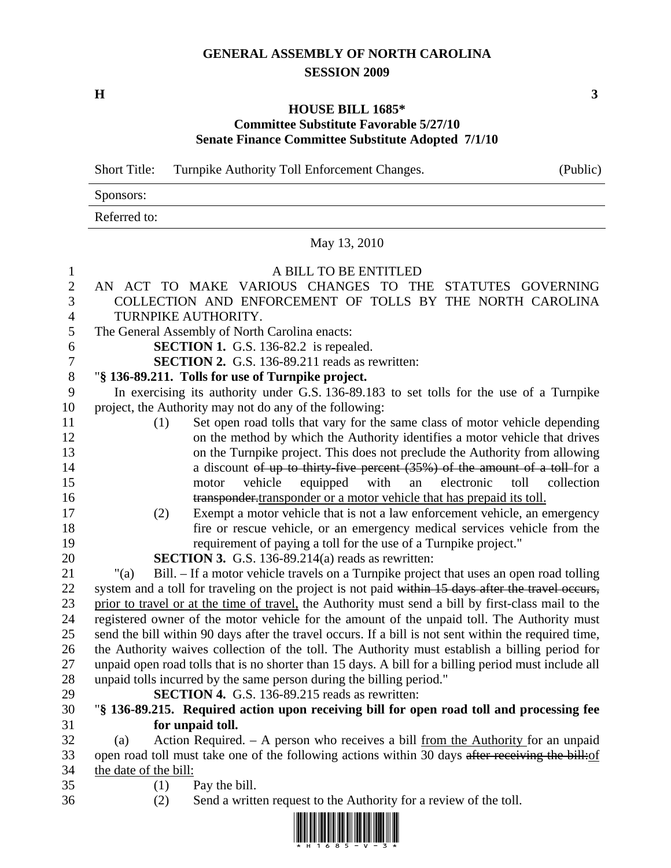# **GENERAL ASSEMBLY OF NORTH CAROLINA SESSION 2009**

 $\mathbf{H}$  3

#### **HOUSE BILL 1685\* Committee Substitute Favorable 5/27/10 Senate Finance Committee Substitute Adopted 7/1/10**

Short Title: Turnpike Authority Toll Enforcement Changes. (Public)

| Sponsors:    |  |
|--------------|--|
| Referred to: |  |

#### May 13, 2010

## 1 A BILL TO BE ENTITLED 2 AN ACT TO MAKE VARIOUS CHANGES TO THE STATUTES GOVERNING 3 COLLECTION AND ENFORCEMENT OF TOLLS BY THE NORTH CAROLINA 4 TURNPIKE AUTHORITY. 5 The General Assembly of North Carolina enacts: 6 **SECTION 1.** G.S. 136-82.2 is repealed. 7 **SECTION 2.** G.S. 136-89.211 reads as rewritten: 8 "**§ 136-89.211. Tolls for use of Turnpike project.**  9 In exercising its authority under G.S. 136-89.183 to set tolls for the use of a Turnpike 10 project, the Authority may not do any of the following: 11 (1) Set open road tolls that vary for the same class of motor vehicle depending 12 on the method by which the Authority identifies a motor vehicle that drives 13 on the Turnpike project. This does not preclude the Authority from allowing 14 a discount of up to thirty-five percent (35%) of the amount of a toll-for a 15 motor vehicle equipped with an electronic toll collection 16 transponder.transponder or a motor vehicle that has prepaid its toll. 17 (2) Exempt a motor vehicle that is not a law enforcement vehicle, an emergency 18 fire or rescue vehicle, or an emergency medical services vehicle from the 19 requirement of paying a toll for the use of a Turnpike project." 20 **SECTION 3.** G.S. 136-89.214(a) reads as rewritten: 21 "(a) Bill. – If a motor vehicle travels on a Turnpike project that uses an open road tolling 22 system and a toll for traveling on the project is not paid within 15 days after the travel occurs, 23 prior to travel or at the time of travel, the Authority must send a bill by first-class mail to the 24 registered owner of the motor vehicle for the amount of the unpaid toll. The Authority must 25 send the bill within 90 days after the travel occurs. If a bill is not sent within the required time, 26 the Authority waives collection of the toll. The Authority must establish a billing period for 27 unpaid open road tolls that is no shorter than 15 days. A bill for a billing period must include all 28 unpaid tolls incurred by the same person during the billing period." 29 **SECTION 4.** G.S. 136-89.215 reads as rewritten: 30 "**§ 136-89.215. Required action upon receiving bill for open road toll and processing fee**  31 **for unpaid toll.**  32 (a) Action Required. – A person who receives a bill from the Authority for an unpaid 33 open road toll must take one of the following actions within 30 days after receiving the bill:of 34 the date of the bill: 35 (1) Pay the bill.

- 
- 
- 36 (2) Send a written request to the Authority for a review of the toll.

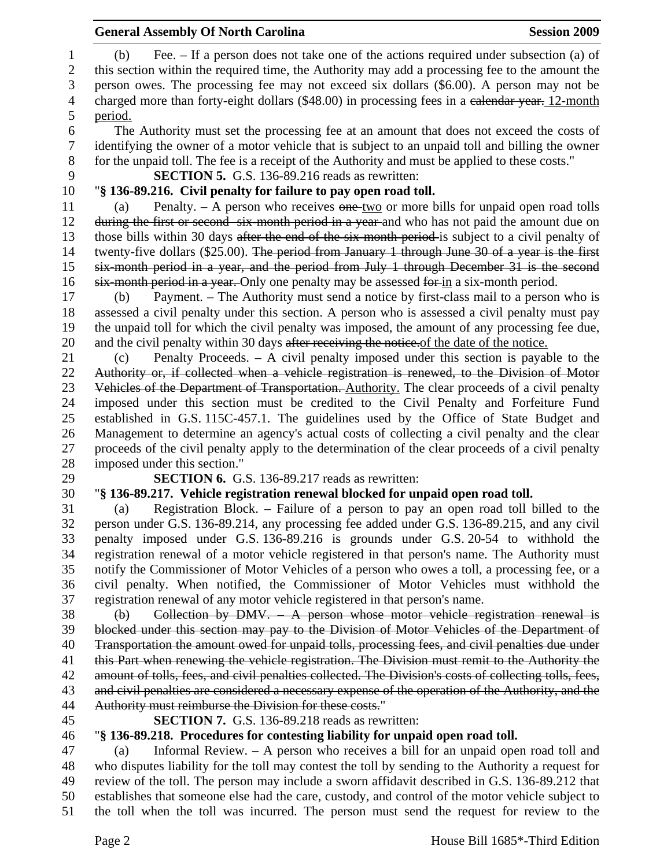|                  | <b>General Assembly Of North Carolina</b><br><b>Session 2009</b>                                      |  |
|------------------|-------------------------------------------------------------------------------------------------------|--|
| 1                | Fee. $-$ If a person does not take one of the actions required under subsection (a) of<br>(b)         |  |
| $\overline{c}$   | this section within the required time, the Authority may add a processing fee to the amount the       |  |
| 3                | person owes. The processing fee may not exceed six dollars (\$6.00). A person may not be              |  |
| $\overline{4}$   | charged more than forty-eight dollars (\$48.00) in processing fees in a calendar year. 12-month       |  |
| 5                | period.                                                                                               |  |
| 6                | The Authority must set the processing fee at an amount that does not exceed the costs of              |  |
| $\boldsymbol{7}$ | identifying the owner of a motor vehicle that is subject to an unpaid toll and billing the owner      |  |
| $8\,$            | for the unpaid toll. The fee is a receipt of the Authority and must be applied to these costs."       |  |
| 9                | <b>SECTION 5.</b> G.S. 136-89.216 reads as rewritten:                                                 |  |
| 10               | "§ 136-89.216. Civil penalty for failure to pay open road toll.                                       |  |
| 11               | Penalty. $- A$ person who receives one-two or more bills for unpaid open road tolls<br>(a)            |  |
| 12               | during the first or second six-month period in a year-and who has not paid the amount due on          |  |
| 13               | those bills within 30 days after the end of the six-month period-is subject to a civil penalty of     |  |
| 14               | twenty-five dollars (\$25.00). The period from January 1 through June 30 of a year is the first       |  |
| 15               | six-month period in a year, and the period from July 1 through December 31 is the second              |  |
| 16               | six-month period in a year. Only one penalty may be assessed for in a six-month period.               |  |
| 17               | Payment. – The Authority must send a notice by first-class mail to a person who is<br>(b)             |  |
| 18               | assessed a civil penalty under this section. A person who is assessed a civil penalty must pay        |  |
| 19               | the unpaid toll for which the civil penalty was imposed, the amount of any processing fee due,        |  |
| 20               | and the civil penalty within 30 days after receiving the notice of the date of the notice.            |  |
| 21               | Penalty Proceeds. $-$ A civil penalty imposed under this section is payable to the<br>(c)             |  |
| 22               | Authority or, if collected when a vehicle registration is renewed, to the Division of Motor           |  |
| 23               | Vehicles of the Department of Transportation. Authority. The clear proceeds of a civil penalty        |  |
| 24               | imposed under this section must be credited to the Civil Penalty and Forfeiture Fund                  |  |
| 25               | established in G.S. 115C-457.1. The guidelines used by the Office of State Budget and                 |  |
| 26               | Management to determine an agency's actual costs of collecting a civil penalty and the clear          |  |
| 27               | proceeds of the civil penalty apply to the determination of the clear proceeds of a civil penalty     |  |
| 28               | imposed under this section."                                                                          |  |
| 29               | <b>SECTION 6.</b> G.S. 136-89.217 reads as rewritten:                                                 |  |
| 30               | "§ 136-89.217. Vehicle registration renewal blocked for unpaid open road toll.                        |  |
| 31               | Registration Block. - Failure of a person to pay an open road toll billed to the<br>(a)               |  |
| 32               | person under G.S. 136-89.214, any processing fee added under G.S. 136-89.215, and any civil           |  |
| 33               | penalty imposed under G.S. 136-89.216 is grounds under G.S. 20-54 to withhold the                     |  |
| 34               | registration renewal of a motor vehicle registered in that person's name. The Authority must          |  |
| 35               | notify the Commissioner of Motor Vehicles of a person who owes a toll, a processing fee, or a         |  |
| 36               | civil penalty. When notified, the Commissioner of Motor Vehicles must withhold the                    |  |
| 37               | registration renewal of any motor vehicle registered in that person's name.                           |  |
| 38               | Collection by DMV. A person whose motor vehicle registration renewal is<br>$\Theta$                   |  |
| 39               | blocked under this section may pay to the Division of Motor Vehicles of the Department of             |  |
| 40               | Transportation the amount owed for unpaid tolls, processing fees, and civil penalties due under       |  |
| 41               | this Part when renewing the vehicle registration. The Division must remit to the Authority the        |  |
| 42               | amount of tolls, fees, and civil penalties collected. The Division's costs of collecting tolls, fees, |  |

- 43 and civil penalties are considered a necessary expense of the operation of the Authority, and the
- 44 Authority must reimburse the Division for these costs." 45 **SECTION 7.** G.S. 136-89.218 reads as rewritten:

## 46 "**§ 136-89.218. Procedures for contesting liability for unpaid open road toll.**

47 (a) Informal Review. – A person who receives a bill for an unpaid open road toll and 48 who disputes liability for the toll may contest the toll by sending to the Authority a request for 49 review of the toll. The person may include a sworn affidavit described in G.S. 136-89.212 that 50 establishes that someone else had the care, custody, and control of the motor vehicle subject to 51 the toll when the toll was incurred. The person must send the request for review to the